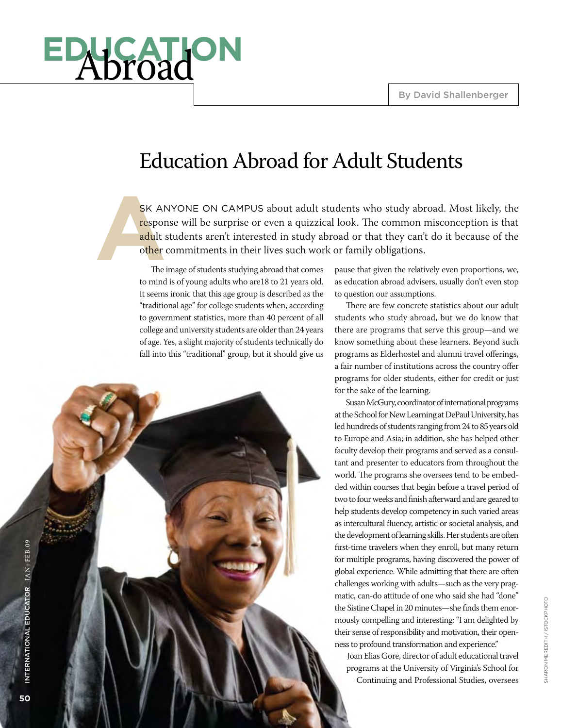# **education** Abroad

### Education Abroad for Adult Students

SK AMP responded to the state of the state of the state of the state of the state of the state of the state of the state of the state of the state of the state of the state of the state of the state of the state of the sta SK ANYONE ON CAMPUS about adult students who study abroad. Most likely, the response will be surprise or even a quizzical look. The common misconception is that adult students aren't interested in study abroad or that they can't do it because of the other commitments in their lives such work or family obligations.

The image of students studying abroad that comes to mind is of young adults who are18 to 21 years old. It seems ironic that this age group is described as the "traditional age" for college students when, according to government statistics, more than 40 percent of all college and university students are older than 24 years of age. Yes, a slight majority of students technically do fall into this "traditional" group, but it should give us

pause that given the relatively even proportions, we, as education abroad advisers, usually don't even stop to question our assumptions.

There are few concrete statistics about our adult students who study abroad, but we do know that there are programs that serve this group—and we know something about these learners. Beyond such programs as Elderhostel and alumni travel offerings, a fair number of institutions across the country offer programs for older students, either for credit or just for the sake of the learning.

Susan McGury, coordinator of international programs at the School for New Learning at DePaul University, has led hundreds of students ranging from 24 to 85 years old to Europe and Asia; in addition, she has helped other faculty develop their programs and served as a consultant and presenter to educators from throughout the world. The programs she oversees tend to be embedded within courses that begin before a travel period of two to four weeks and finish afterward and are geared to help students develop competency in such varied areas as intercultural fluency, artistic or societal analysis, and the development of learning skills. Her students are often first-time travelers when they enroll, but many return for multiple programs, having discovered the power of global experience. While admitting that there are often challenges working with adults—such as the very pragmatic, can-do attitude of one who said she had "done" the Sistine Chapel in 20 minutes—she finds them enormously compelling and interesting: "I am delighted by their sense of responsibility and motivation, their openness to profound transformation and experience."

Joan Elias Gore, director of adult educational travel programs at the University of Virginia's School for Continuing and Professional Studies, oversees

sharon meredith / istockphoto

SHARON MEREDITH / ISTO CKPHOTO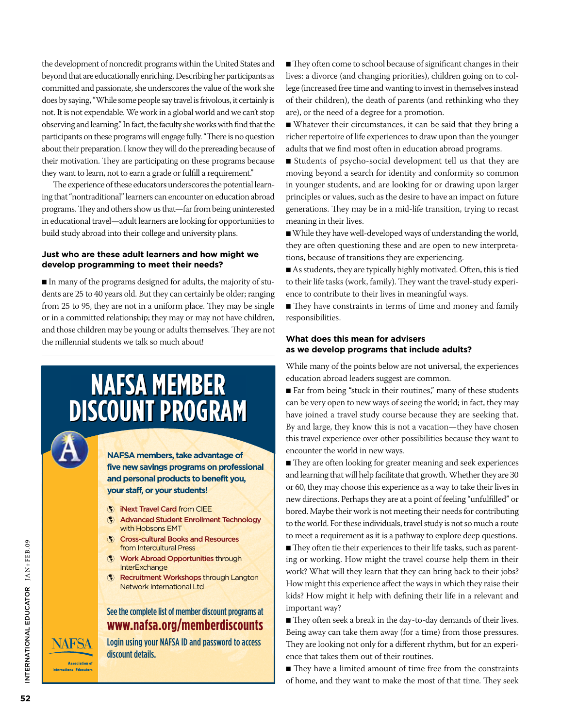the development of noncredit programs within the United States and beyond that are educationally enriching. Describing her participants as committed and passionate, she underscores the value of the work she does by saying, "While some people say travel is frivolous, it certainly is not. It is not expendable. We work in a global world and we can't stop observing and learning." In fact, the faculty she works with find that the participants on these programs will engage fully. "There is no question about their preparation. I know they will do the prereading because of their motivation. They are participating on these programs because they want to learn, not to earn a grade or fulfill a requirement."

The experience of these educators underscores the potential learning that "nontraditional" learners can encounter on education abroad programs. They and others show us that—far from being uninterested in educational travel—adult learners are looking for opportunities to build study abroad into their college and university plans.

#### **Just who are these adult learners and how might we develop programming to meet their needs?**

n In many of the programs designed for adults, the majority of students are 25 to 40 years old. But they can certainly be older; ranging from 25 to 95, they are not in a uniform place. They may be single or in a committed relationship; they may or may not have children, and those children may be young or adults themselves. They are not the millennial students we talk so much about!

## **NAFSA MEMBER DISCOUNT PROGRAM**

**NAFSA members, take advantage of five new savings programs on professional and personal products to benefit you, your staff, or your students!**

- iNext Travel Card from CIEE
- Advanced Student Enrollment Technology with Hobsons EMT
- **(\*)** Cross-cultural Books and Resources from Intercultural Press
- **Work Abroad Opportunities through InterExchange**
- **(\*)** Recruitment Workshops through Langton Network International Ltd

#### See the complete list of member discount programs at **www.nafsa.org/memberdiscounts**

Login using your NAFSA ID and password to access discount details.

■ They often come to school because of significant changes in their lives: a divorce (and changing priorities), children going on to college (increased free time and wanting to invest in themselves instead of their children), the death of parents (and rethinking who they are), or the need of a degree for a promotion.

n Whatever their circumstances, it can be said that they bring a richer repertoire of life experiences to draw upon than the younger adults that we find most often in education abroad programs.

n Students of psycho-social development tell us that they are moving beyond a search for identity and conformity so common in younger students, and are looking for or drawing upon larger principles or values, such as the desire to have an impact on future generations. They may be in a mid-life transition, trying to recast meaning in their lives.

n While they have well-developed ways of understanding the world, they are often questioning these and are open to new interpretations, because of transitions they are experiencing.

n As students, they are typically highly motivated. Often, this is tied to their life tasks (work, family). They want the travel-study experience to contribute to their lives in meaningful ways.

■ They have constraints in terms of time and money and family responsibilities.

#### **What does this mean for advisers as we develop programs that include adults?**

While many of the points below are not universal, the experiences education abroad leaders suggest are common.

 $\blacksquare$  Far from being "stuck in their routines," many of these students can be very open to new ways of seeing the world; in fact, they may have joined a travel study course because they are seeking that. By and large, they know this is not a vacation—they have chosen this travel experience over other possibilities because they want to encounter the world in new ways.

■ They are often looking for greater meaning and seek experiences and learning that will help facilitate that growth. Whether they are 30 or 60, they may choose this experience as a way to take their lives in new directions. Perhaps they are at a point of feeling "unfulfilled" or bored. Maybe their work is not meeting their needs for contributing to the world. For these individuals, travel study is not so much a route to meet a requirement as it is a pathway to explore deep questions.

 $\blacksquare$  They often tie their experiences to their life tasks, such as parenting or working. How might the travel course help them in their work? What will they learn that they can bring back to their jobs? How might this experience affect the ways in which they raise their kids? How might it help with defining their life in a relevant and important way?

They often seek a break in the day-to-day demands of their lives. Being away can take them away (for a time) from those pressures. They are looking not only for a different rhythm, but for an experience that takes them out of their routines.

■ They have a limited amount of time free from the constraints of home, and they want to make the most of that time. They seek

NAFSA

**Association of International Educator**